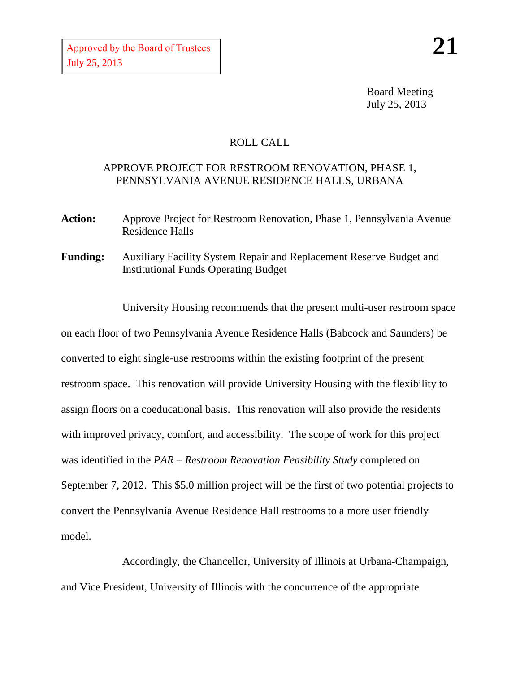Board Meeting July 25, 2013

## ROLL CALL

## APPROVE PROJECT FOR RESTROOM RENOVATION, PHASE 1, PENNSYLVANIA AVENUE RESIDENCE HALLS, URBANA

- **Action:** Approve Project for Restroom Renovation, Phase 1, Pennsylvania Avenue Residence Halls
- **Funding:** Auxiliary Facility System Repair and Replacement Reserve Budget and Institutional Funds Operating Budget

University Housing recommends that the present multi-user restroom space on each floor of two Pennsylvania Avenue Residence Halls (Babcock and Saunders) be converted to eight single-use restrooms within the existing footprint of the present restroom space. This renovation will provide University Housing with the flexibility to assign floors on a coeducational basis. This renovation will also provide the residents with improved privacy, comfort, and accessibility. The scope of work for this project was identified in the *PAR – Restroom Renovation Feasibility Study* completed on September 7, 2012. This \$5.0 million project will be the first of two potential projects to convert the Pennsylvania Avenue Residence Hall restrooms to a more user friendly model.

Accordingly, the Chancellor, University of Illinois at Urbana-Champaign, and Vice President, University of Illinois with the concurrence of the appropriate